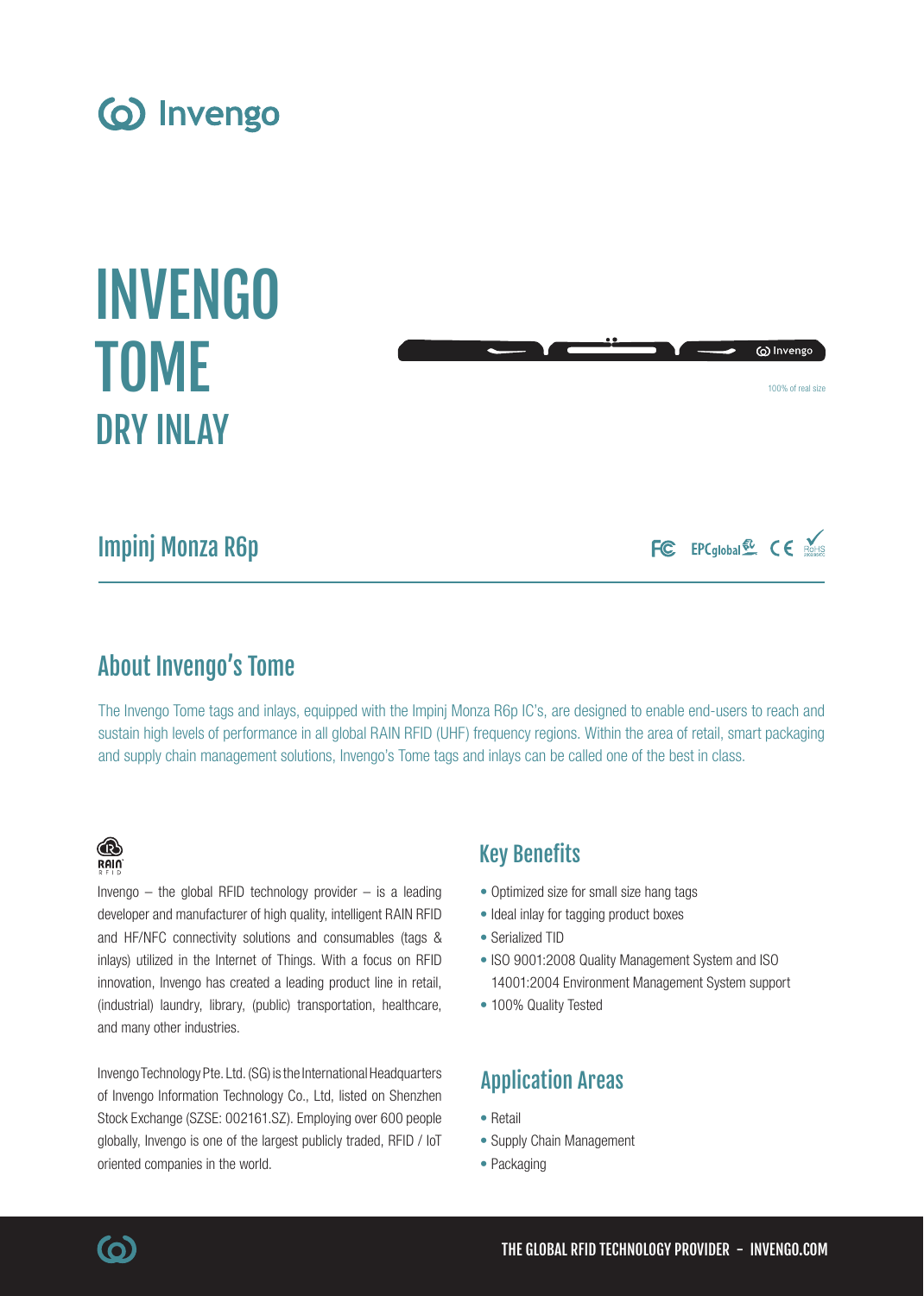

# INVENGO TOME DRY INLAY



## Impinj Monza R6p

FC EPCglobal & CE ROHIS

## About Invengo's Tome

The Invengo Tome tags and inlays, equipped with the Impinj Monza R6p IC's, are designed to enable end-users to reach and sustain high levels of performance in all global RAIN RFID (UHF) frequency regions. Within the area of retail, smart packaging and supply chain management solutions, Invengo's Tome tags and inlays can be called one of the best in class.

### ® RAIN

Invengo  $-$  the global RFID technology provider  $-$  is a leading developer and manufacturer of high quality, intelligent RAIN RFID and HF/NFC connectivity solutions and consumables (tags & inlays) utilized in the Internet of Things. With a focus on RFID innovation, Invengo has created a leading product line in retail, (industrial) laundry, library, (public) transportation, healthcare, and many other industries.

Invengo Technology Pte. Ltd. (SG) is the International Headquarters of Invengo Information Technology Co., Ltd, listed on Shenzhen Stock Exchange (SZSE: 002161.SZ). Employing over 600 people globally, Invengo is one of the largest publicly traded, RFID / IoT oriented companies in the world.

## Key Benefits

- Optimized size for small size hang tags
- Ideal inlay for tagging product boxes
- Serialized TID
- ISO 9001:2008 Quality Management System and ISO 14001:2004 Environment Management System support
- 100% Quality Tested

## Application Areas

- Retail
- Supply Chain Management
- Packaging